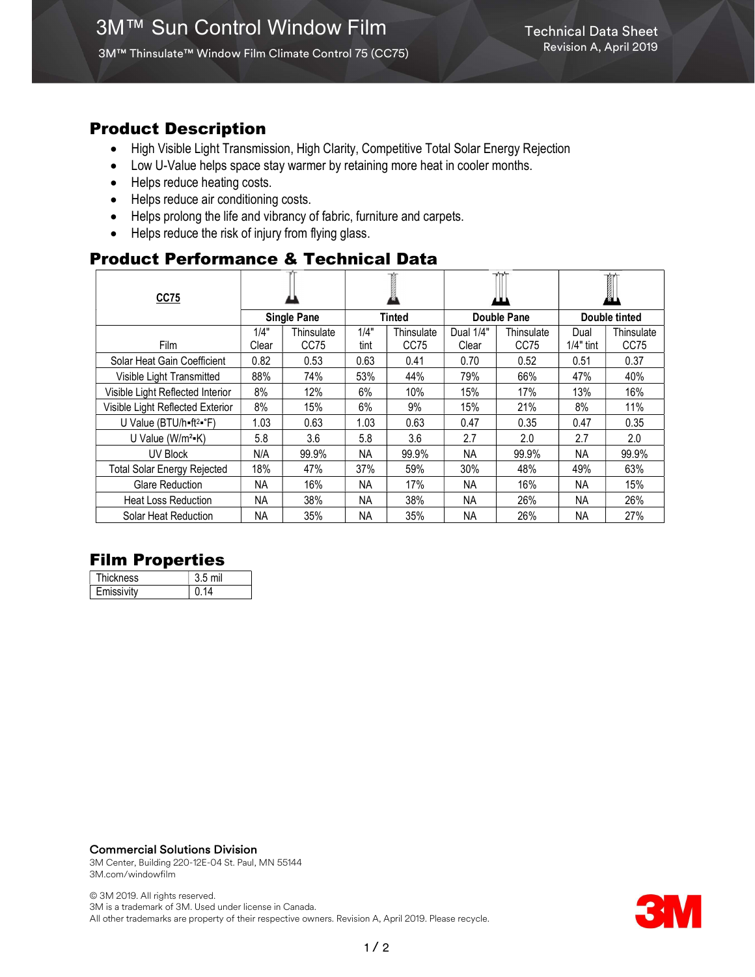## Product Description

- High Visible Light Transmission, High Clarity, Competitive Total Solar Energy Rejection
- Low U-Value helps space stay warmer by retaining more heat in cooler months.
- Helps reduce heating costs.
- Helps reduce air conditioning costs.
- Helps prolong the life and vibrancy of fabric, furniture and carpets.
- Helps reduce the risk of injury from flying glass.

# Product Performance & Technical Data

| CC75                                          |           |            |           |            |             |            | <b>TAT</b><br>✍ |            |
|-----------------------------------------------|-----------|------------|-----------|------------|-------------|------------|-----------------|------------|
| <b>Single Pane</b>                            |           |            | Tinted    |            | Double Pane |            | Double tinted   |            |
|                                               | 1/4"      | Thinsulate | 1/4"      | Thinsulate | Dual 1/4"   | Thinsulate | Dual            | Thinsulate |
| Film                                          | Clear     | CC75       | tint      | CC75       | Clear       | CC75       | $1/4"$ tint     | CC75       |
| Solar Heat Gain Coefficient                   | 0.82      | 0.53       | 0.63      | 0.41       | 0.70        | 0.52       | 0.51            | 0.37       |
| Visible Light Transmitted                     | 88%       | 74%        | 53%       | 44%        | 79%         | 66%        | 47%             | 40%        |
| Visible Light Reflected Interior              | 8%        | 12%        | 6%        | 10%        | 15%         | 17%        | 13%             | 16%        |
| Visible Light Reflected Exterior              | 8%        | 15%        | 6%        | 9%         | 15%         | 21%        | 8%              | 11%        |
| U Value (BTU/h=ft <sup>2</sup> = $\degree$ F) | 1.03      | 0.63       | 1.03      | 0.63       | 0.47        | 0.35       | 0.47            | 0.35       |
| U Value ( $W/m^2-K$ )                         | 5.8       | 3.6        | 5.8       | 3.6        | 2.7         | 2.0        | 2.7             | 2.0        |
| UV Block                                      | N/A       | 99.9%      | <b>NA</b> | 99.9%      | <b>NA</b>   | 99.9%      | <b>NA</b>       | 99.9%      |
| <b>Total Solar Energy Rejected</b>            | 18%       | 47%        | 37%       | 59%        | 30%         | 48%        | 49%             | 63%        |
| <b>Glare Reduction</b>                        | <b>NA</b> | 16%        | <b>NA</b> | 17%        | NА          | 16%        | <b>NA</b>       | 15%        |
| <b>Heat Loss Reduction</b>                    | NA        | 38%        | NA        | 38%        | NA.         | 26%        | NA.             | 26%        |
| Solar Heat Reduction                          | <b>NA</b> | 35%        | <b>NA</b> | 35%        | <b>NA</b>   | 26%        | <b>NA</b>       | 27%        |

# Film Properties

| <b>Thickness</b> | 3.5 mil |
|------------------|---------|
| Emissivity       | በ 14    |

#### Commercial Solutions Division

3M Center, Building 220-12E-04 St. Paul, MN 55144 3M.com/windowfilm

© 3M 2019. All rights reserved. 3M is a trademark of 3M. Used under license in Canada. All other trademarks are property of their respective owners. Revision A, April 2019. Please recycle.